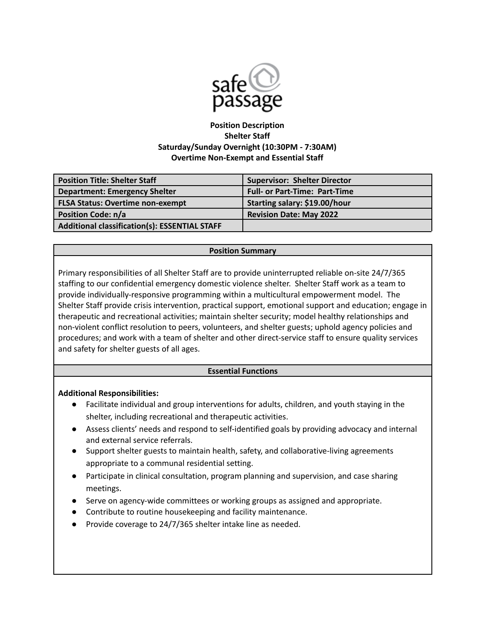

# **Position Description Shelter Staff Saturday/Sunday Overnight (10:30PM - 7:30AM) Overtime Non-Exempt and Essential Staff**

| Position Title: Shelter Staff                 | <b>Supervisor: Shelter Director</b>  |
|-----------------------------------------------|--------------------------------------|
| Department: Emergency Shelter                 | <b>Full- or Part-Time: Part-Time</b> |
| <b>FLSA Status: Overtime non-exempt</b>       | Starting salary: \$19.00/hour        |
| <b>Position Code: n/a</b>                     | <b>Revision Date: May 2022</b>       |
| Additional classification(s): ESSENTIAL STAFF |                                      |

#### **Position Summary**

Primary responsibilities of all Shelter Staff are to provide uninterrupted reliable on-site 24/7/365 staffing to our confidential emergency domestic violence shelter. Shelter Staff work as a team to provide individually-responsive programming within a multicultural empowerment model. The Shelter Staff provide crisis intervention, practical support, emotional support and education; engage in therapeutic and recreational activities; maintain shelter security; model healthy relationships and non-violent conflict resolution to peers, volunteers, and shelter guests; uphold agency policies and procedures; and work with a team of shelter and other direct-service staff to ensure quality services and safety for shelter guests of all ages.

### **Essential Functions**

### **Additional Responsibilities:**

- Facilitate individual and group interventions for adults, children, and youth staying in the shelter, including recreational and therapeutic activities.
- Assess clients' needs and respond to self-identified goals by providing advocacy and internal and external service referrals.
- Support shelter guests to maintain health, safety, and collaborative-living agreements appropriate to a communal residential setting.
- Participate in clinical consultation, program planning and supervision, and case sharing meetings.
- Serve on agency-wide committees or working groups as assigned and appropriate.
- Contribute to routine housekeeping and facility maintenance.
- Provide coverage to 24/7/365 shelter intake line as needed.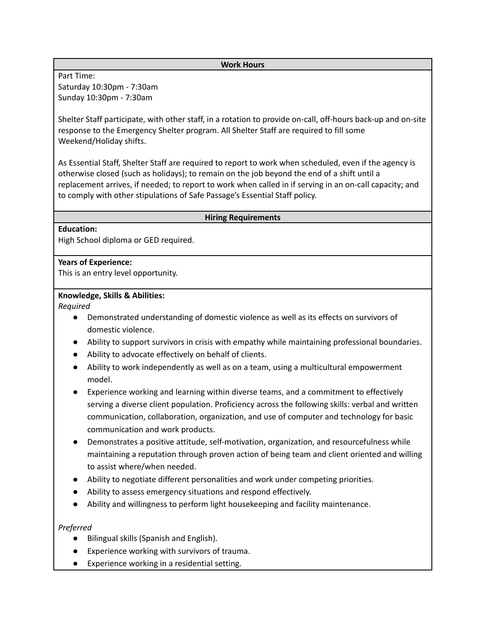#### **Work Hours**

Part Time: Saturday 10:30pm - 7:30am Sunday 10:30pm - 7:30am

Shelter Staff participate, with other staff, in a rotation to provide on-call, off-hours back-up and on-site response to the Emergency Shelter program. All Shelter Staff are required to fill some Weekend/Holiday shifts.

As Essential Staff, Shelter Staff are required to report to work when scheduled, even if the agency is otherwise closed (such as holidays); to remain on the job beyond the end of a shift until a replacement arrives, if needed; to report to work when called in if serving in an on-call capacity; and to comply with other stipulations of Safe Passage's Essential Staff policy.

#### **Hiring Requirements**

#### **Education:**

High School diploma or GED required.

#### **Years of Experience:**

This is an entry level opportunity.

#### **Knowledge, Skills & Abilities:**

*Required*

- Demonstrated understanding of domestic violence as well as its effects on survivors of domestic violence.
- Ability to support survivors in crisis with empathy while maintaining professional boundaries.
- Ability to advocate effectively on behalf of clients.
- Ability to work independently as well as on a team, using a multicultural empowerment model.
- Experience working and learning within diverse teams, and a commitment to effectively serving a diverse client population. Proficiency across the following skills: verbal and written communication, collaboration, organization, and use of computer and technology for basic communication and work products.
- Demonstrates a positive attitude, self-motivation, organization, and resourcefulness while maintaining a reputation through proven action of being team and client oriented and willing to assist where/when needed.
- Ability to negotiate different personalities and work under competing priorities.
- Ability to assess emergency situations and respond effectively.
- Ability and willingness to perform light housekeeping and facility maintenance.

### *Preferred*

- Bilingual skills (Spanish and English).
- Experience working with survivors of trauma.
- Experience working in a residential setting.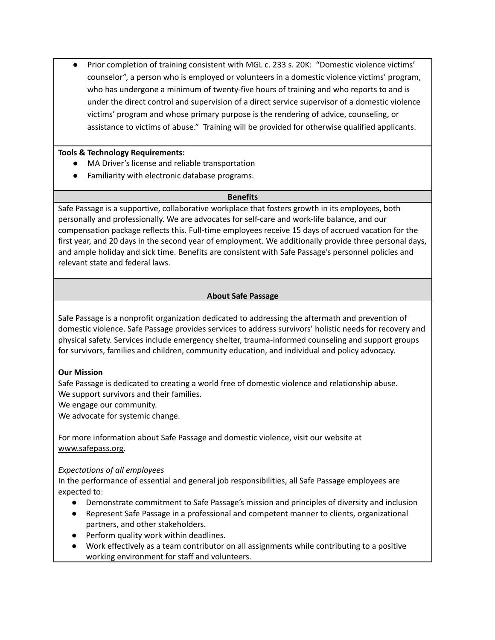Prior completion of training consistent with MGL c. 233 s. 20K: "Domestic violence victims' counselor", a person who is employed or volunteers in a domestic violence victims' program, who has undergone a minimum of twenty-five hours of training and who reports to and is under the direct control and supervision of a direct service supervisor of a domestic violence victims' program and whose primary purpose is the rendering of advice, counseling, or assistance to victims of abuse." Training will be provided for otherwise qualified applicants.

# **Tools & Technology Requirements:**

- MA Driver's license and reliable transportation
- Familiarity with electronic database programs.

### **Benefits**

Safe Passage is a supportive, collaborative workplace that fosters growth in its employees, both personally and professionally. We are advocates for self-care and work-life balance, and our compensation package reflects this. Full-time employees receive 15 days of accrued vacation for the first year, and 20 days in the second year of employment. We additionally provide three personal days, and ample holiday and sick time. Benefits are consistent with Safe Passage's personnel policies and relevant state and federal laws.

# **About Safe Passage**

Safe Passage is a nonprofit organization dedicated to addressing the aftermath and prevention of domestic violence. Safe Passage provides services to address survivors' holistic needs for recovery and physical safety. Services include emergency shelter, trauma-informed counseling and support groups for survivors, families and children, community education, and individual and policy advocacy.

### **Our Mission**

Safe Passage is dedicated to creating a world free of domestic violence and relationship abuse. We support survivors and their families.

We engage our community.

We advocate for systemic change.

For more information about Safe Passage and domestic violence, visit our website at [www.safepass.org.](http://www.safepass.org)

### *Expectations of all employees*

In the performance of essential and general job responsibilities, all Safe Passage employees are expected to:

- Demonstrate commitment to Safe Passage's mission and principles of diversity and inclusion
- Represent Safe Passage in a professional and competent manner to clients, organizational partners, and other stakeholders.
- Perform quality work within deadlines.
- Work effectively as a team contributor on all assignments while contributing to a positive working environment for staff and volunteers.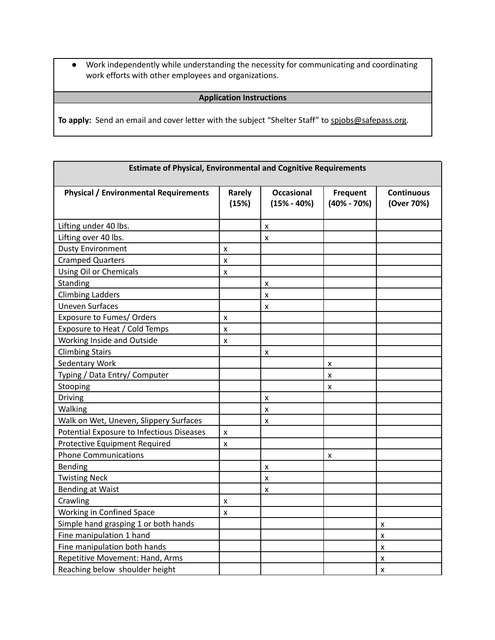● Work independently while understanding the necessity for communicating and coordinating work efforts with other employees and organizations.

# **Application Instructions**

To apply: Send an email and cover letter with the subject "Shelter Staff" to [spjobs@safepass.org.](mailto:spjobs@safepass.org)

| <b>Estimate of Physical, Environmental and Cognitive Requirements</b> |                        |                                    |                                    |                                 |  |
|-----------------------------------------------------------------------|------------------------|------------------------------------|------------------------------------|---------------------------------|--|
| <b>Physical / Environmental Requirements</b>                          | <b>Rarely</b><br>(15%) | <b>Occasional</b><br>$(15% - 40%)$ | <b>Frequent</b><br>$(40\% - 70\%)$ | <b>Continuous</b><br>(Over 70%) |  |
| Lifting under 40 lbs.                                                 |                        | X                                  |                                    |                                 |  |
| Lifting over 40 lbs.                                                  |                        | X                                  |                                    |                                 |  |
| <b>Dusty Environment</b>                                              | x                      |                                    |                                    |                                 |  |
| <b>Cramped Quarters</b>                                               | x                      |                                    |                                    |                                 |  |
| <b>Using Oil or Chemicals</b>                                         | x                      |                                    |                                    |                                 |  |
| Standing                                                              |                        | X                                  |                                    |                                 |  |
| <b>Climbing Ladders</b>                                               |                        | X                                  |                                    |                                 |  |
| <b>Uneven Surfaces</b>                                                |                        | X                                  |                                    |                                 |  |
| Exposure to Fumes/ Orders                                             | x                      |                                    |                                    |                                 |  |
| Exposure to Heat / Cold Temps                                         | x                      |                                    |                                    |                                 |  |
| Working Inside and Outside                                            | x                      |                                    |                                    |                                 |  |
| <b>Climbing Stairs</b>                                                |                        | X                                  |                                    |                                 |  |
| <b>Sedentary Work</b>                                                 |                        |                                    | x                                  |                                 |  |
| Typing / Data Entry/ Computer                                         |                        |                                    | X                                  |                                 |  |
| Stooping                                                              |                        |                                    | x                                  |                                 |  |
| Driving                                                               |                        | x                                  |                                    |                                 |  |
| Walking                                                               |                        | X                                  |                                    |                                 |  |
| Walk on Wet, Uneven, Slippery Surfaces                                |                        | X                                  |                                    |                                 |  |
| Potential Exposure to Infectious Diseases                             | x                      |                                    |                                    |                                 |  |
| Protective Equipment Required                                         | x                      |                                    |                                    |                                 |  |
| <b>Phone Communications</b>                                           |                        |                                    | x                                  |                                 |  |
| Bending                                                               |                        | X                                  |                                    |                                 |  |
| <b>Twisting Neck</b>                                                  |                        | $\mathsf{x}$                       |                                    |                                 |  |
| <b>Bending at Waist</b>                                               |                        | X                                  |                                    |                                 |  |
| Crawling                                                              | x                      |                                    |                                    |                                 |  |
| Working in Confined Space                                             | X                      |                                    |                                    |                                 |  |
| Simple hand grasping 1 or both hands                                  |                        |                                    |                                    | x                               |  |
| Fine manipulation 1 hand                                              |                        |                                    |                                    | x                               |  |
| Fine manipulation both hands                                          |                        |                                    |                                    | x                               |  |
| Repetitive Movement: Hand, Arms                                       |                        |                                    |                                    | x                               |  |
| Reaching below shoulder height                                        |                        |                                    |                                    | X                               |  |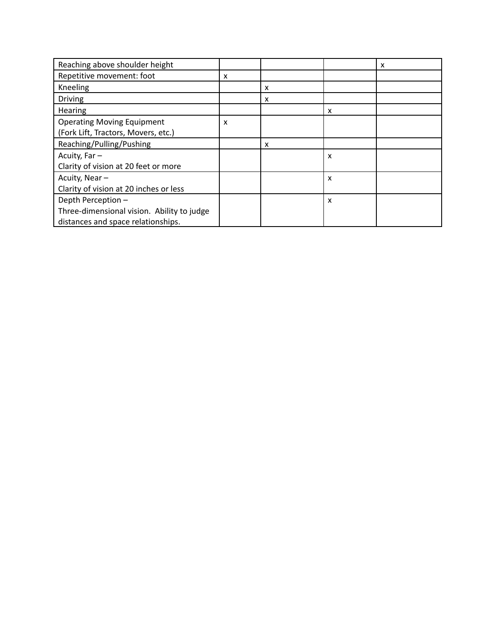| Reaching above shoulder height             |   |   |                           | x |
|--------------------------------------------|---|---|---------------------------|---|
| Repetitive movement: foot                  | X |   |                           |   |
| Kneeling                                   |   | x |                           |   |
| <b>Driving</b>                             |   | x |                           |   |
| Hearing                                    |   |   | X                         |   |
| <b>Operating Moving Equipment</b>          | x |   |                           |   |
| (Fork Lift, Tractors, Movers, etc.)        |   |   |                           |   |
| Reaching/Pulling/Pushing                   |   | x |                           |   |
| Acuity, Far-                               |   |   | X                         |   |
| Clarity of vision at 20 feet or more       |   |   |                           |   |
| Acuity, Near-                              |   |   | X                         |   |
| Clarity of vision at 20 inches or less     |   |   |                           |   |
| Depth Perception -                         |   |   | $\boldsymbol{\mathsf{x}}$ |   |
| Three-dimensional vision. Ability to judge |   |   |                           |   |
| distances and space relationships.         |   |   |                           |   |